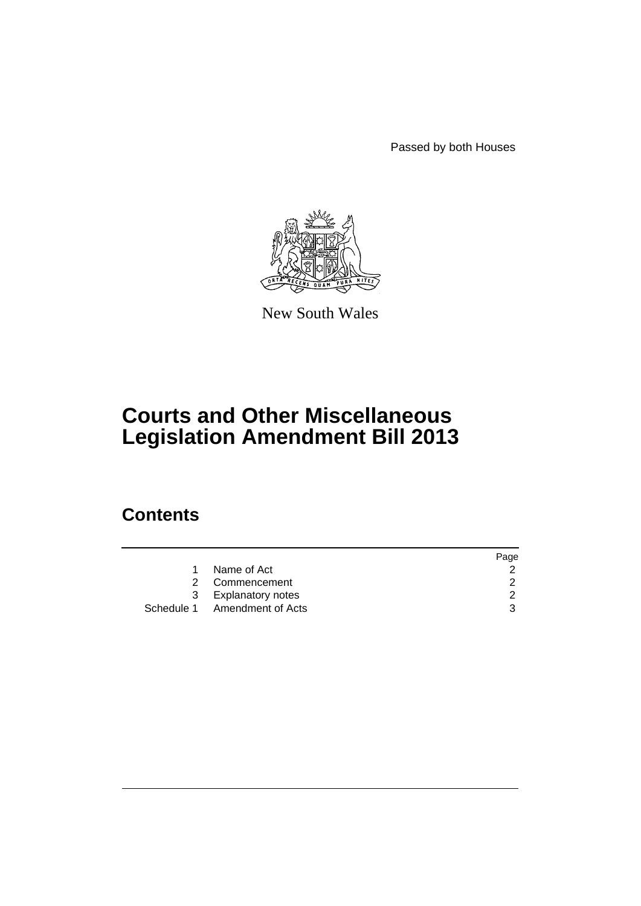Passed by both Houses



New South Wales

# **Courts and Other Miscellaneous Legislation Amendment Bill 2013**

# **Contents**

|                              | Page |
|------------------------------|------|
| Name of Act                  |      |
| 2 Commencement               | 2    |
| 3 Explanatory notes          | -2.  |
| Schedule 1 Amendment of Acts |      |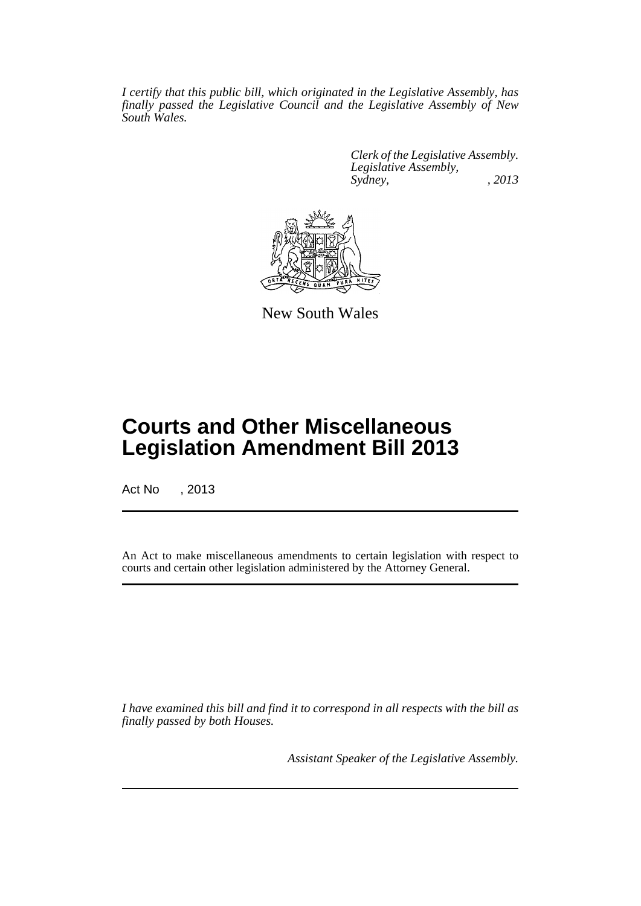*I certify that this public bill, which originated in the Legislative Assembly, has finally passed the Legislative Council and the Legislative Assembly of New South Wales.*

> *Clerk of the Legislative Assembly. Legislative Assembly, Sydney, , 2013*



New South Wales

# **Courts and Other Miscellaneous Legislation Amendment Bill 2013**

Act No , 2013

An Act to make miscellaneous amendments to certain legislation with respect to courts and certain other legislation administered by the Attorney General.

*I have examined this bill and find it to correspond in all respects with the bill as finally passed by both Houses.*

*Assistant Speaker of the Legislative Assembly.*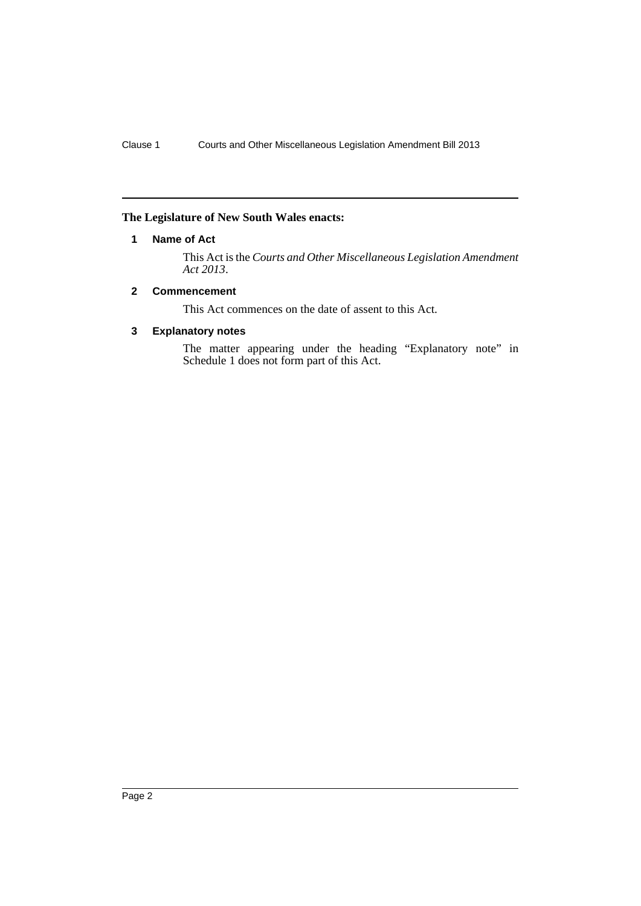## <span id="page-3-0"></span>**The Legislature of New South Wales enacts:**

## **1 Name of Act**

This Act is the *Courts and Other Miscellaneous Legislation Amendment Act 2013*.

## <span id="page-3-1"></span>**2 Commencement**

This Act commences on the date of assent to this Act.

## <span id="page-3-2"></span>**3 Explanatory notes**

The matter appearing under the heading "Explanatory note" in Schedule 1 does not form part of this Act.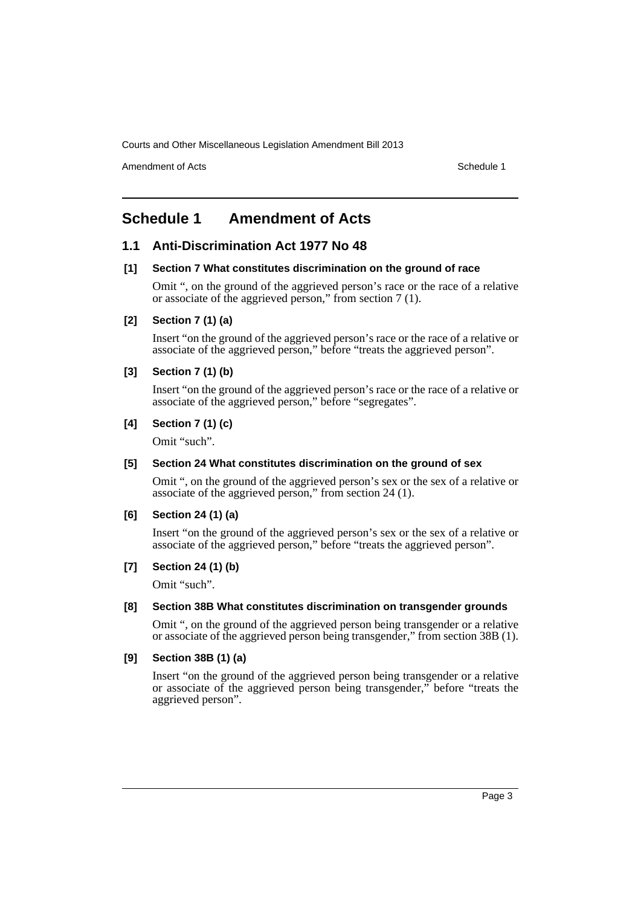Amendment of Acts **Schedule 1** and the set of Acts Schedule 1

# <span id="page-4-0"></span>**Schedule 1 Amendment of Acts**

## **1.1 Anti-Discrimination Act 1977 No 48**

#### **[1] Section 7 What constitutes discrimination on the ground of race**

Omit ", on the ground of the aggrieved person's race or the race of a relative or associate of the aggrieved person," from section 7 (1).

## **[2] Section 7 (1) (a)**

Insert "on the ground of the aggrieved person's race or the race of a relative or associate of the aggrieved person," before "treats the aggrieved person".

## **[3] Section 7 (1) (b)**

Insert "on the ground of the aggrieved person's race or the race of a relative or associate of the aggrieved person," before "segregates".

## **[4] Section 7 (1) (c)**

Omit "such".

#### **[5] Section 24 What constitutes discrimination on the ground of sex**

Omit ", on the ground of the aggrieved person's sex or the sex of a relative or associate of the aggrieved person," from section 24 (1).

#### **[6] Section 24 (1) (a)**

Insert "on the ground of the aggrieved person's sex or the sex of a relative or associate of the aggrieved person," before "treats the aggrieved person".

#### **[7] Section 24 (1) (b)**

Omit "such".

#### **[8] Section 38B What constitutes discrimination on transgender grounds**

Omit ", on the ground of the aggrieved person being transgender or a relative or associate of the aggrieved person being transgender," from section 38B (1).

#### **[9] Section 38B (1) (a)**

Insert "on the ground of the aggrieved person being transgender or a relative or associate of the aggrieved person being transgender," before "treats the aggrieved person".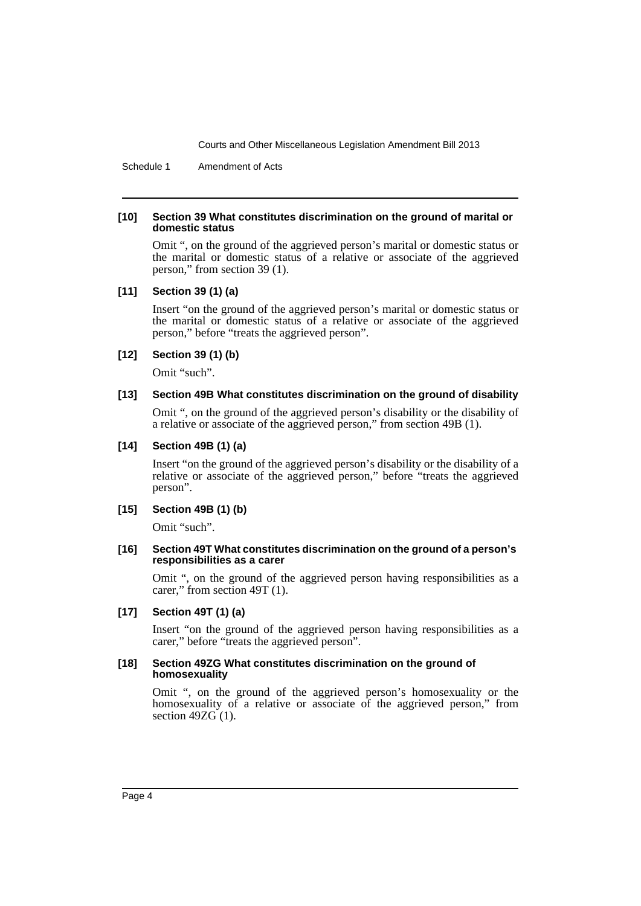Schedule 1 Amendment of Acts

#### **[10] Section 39 What constitutes discrimination on the ground of marital or domestic status**

Omit ", on the ground of the aggrieved person's marital or domestic status or the marital or domestic status of a relative or associate of the aggrieved person," from section 39 (1).

#### **[11] Section 39 (1) (a)**

Insert "on the ground of the aggrieved person's marital or domestic status or the marital or domestic status of a relative or associate of the aggrieved person," before "treats the aggrieved person".

#### **[12] Section 39 (1) (b)**

Omit "such".

#### **[13] Section 49B What constitutes discrimination on the ground of disability**

Omit ", on the ground of the aggrieved person's disability or the disability of a relative or associate of the aggrieved person," from section 49B (1).

#### **[14] Section 49B (1) (a)**

Insert "on the ground of the aggrieved person's disability or the disability of a relative or associate of the aggrieved person," before "treats the aggrieved person".

## **[15] Section 49B (1) (b)**

Omit "such".

#### **[16] Section 49T What constitutes discrimination on the ground of a person's responsibilities as a carer**

Omit ", on the ground of the aggrieved person having responsibilities as a carer," from section 49T (1).

#### **[17] Section 49T (1) (a)**

Insert "on the ground of the aggrieved person having responsibilities as a carer," before "treats the aggrieved person".

#### **[18] Section 49ZG What constitutes discrimination on the ground of homosexuality**

Omit ", on the ground of the aggrieved person's homosexuality or the homosexuality of a relative or associate of the aggrieved person," from section  $49ZG(1)$ .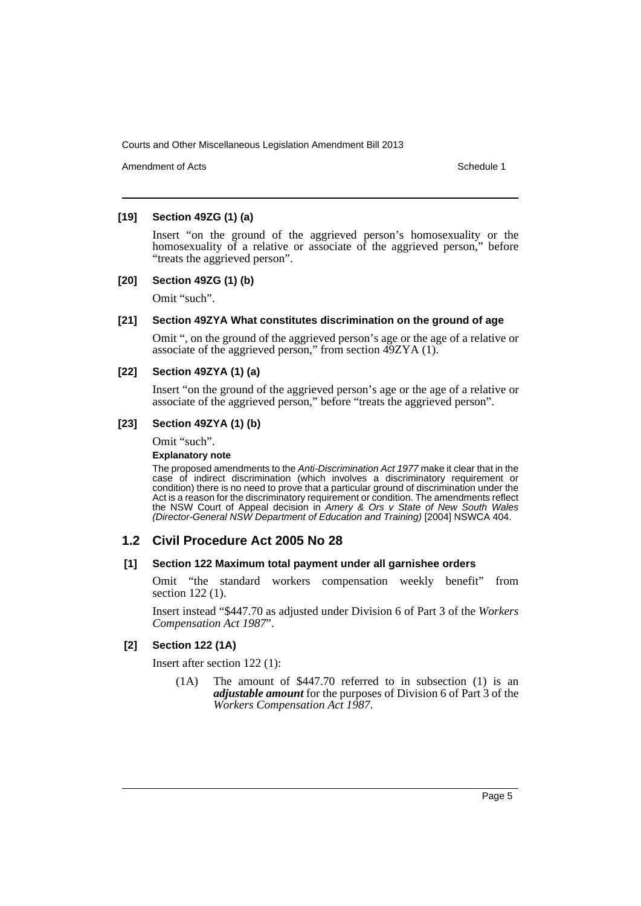Amendment of Acts **Amendment of Acts** Schedule 1

## **[19] Section 49ZG (1) (a)**

Insert "on the ground of the aggrieved person's homosexuality or the homosexuality of a relative or associate of the aggrieved person," before "treats the aggrieved person".

## **[20] Section 49ZG (1) (b)**

Omit "such".

#### **[21] Section 49ZYA What constitutes discrimination on the ground of age**

Omit ", on the ground of the aggrieved person's age or the age of a relative or associate of the aggrieved person," from section 49ZYA (1).

## **[22] Section 49ZYA (1) (a)**

Insert "on the ground of the aggrieved person's age or the age of a relative or associate of the aggrieved person," before "treats the aggrieved person".

## **[23] Section 49ZYA (1) (b)**

Omit "such".

#### **Explanatory note**

The proposed amendments to the *Anti-Discrimination Act 1977* make it clear that in the case of indirect discrimination (which involves a discriminatory requirement or condition) there is no need to prove that a particular ground of discrimination under the Act is a reason for the discriminatory requirement or condition. The amendments reflect the NSW Court of Appeal decision in *Amery & Ors v State of New South Wales (Director-General NSW Department of Education and Training)* [2004] NSWCA 404.

# **1.2 Civil Procedure Act 2005 No 28**

#### **[1] Section 122 Maximum total payment under all garnishee orders**

Omit "the standard workers compensation weekly benefit" from section 122 (1).

Insert instead "\$447.70 as adjusted under Division 6 of Part 3 of the *Workers Compensation Act 1987*".

#### **[2] Section 122 (1A)**

Insert after section 122 (1):

(1A) The amount of \$447.70 referred to in subsection (1) is an *adjustable amount* for the purposes of Division 6 of Part 3 of the *Workers Compensation Act 1987*.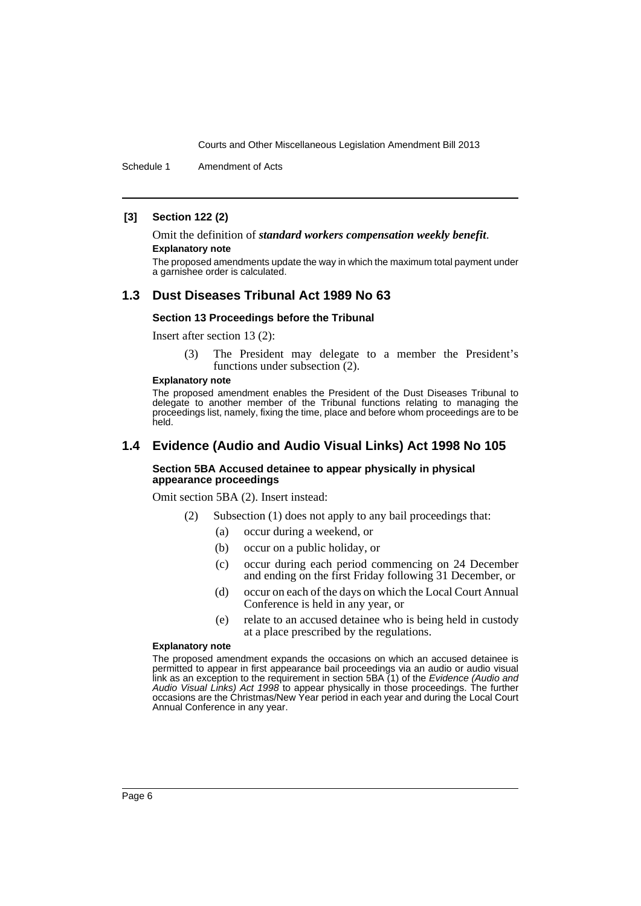Schedule 1 Amendment of Acts

#### **[3] Section 122 (2)**

Omit the definition of *standard workers compensation weekly benefit*.

#### **Explanatory note**

The proposed amendments update the way in which the maximum total payment under a garnishee order is calculated.

## **1.3 Dust Diseases Tribunal Act 1989 No 63**

#### **Section 13 Proceedings before the Tribunal**

Insert after section 13 (2):

(3) The President may delegate to a member the President's functions under subsection (2).

#### **Explanatory note**

The proposed amendment enables the President of the Dust Diseases Tribunal to delegate to another member of the Tribunal functions relating to managing the proceedings list, namely, fixing the time, place and before whom proceedings are to be held.

## **1.4 Evidence (Audio and Audio Visual Links) Act 1998 No 105**

#### **Section 5BA Accused detainee to appear physically in physical appearance proceedings**

Omit section 5BA (2). Insert instead:

- (2) Subsection (1) does not apply to any bail proceedings that:
	- (a) occur during a weekend, or
	- (b) occur on a public holiday, or
	- (c) occur during each period commencing on 24 December and ending on the first Friday following 31 December, or
	- (d) occur on each of the days on which the Local Court Annual Conference is held in any year, or
	- (e) relate to an accused detainee who is being held in custody at a place prescribed by the regulations.

#### **Explanatory note**

The proposed amendment expands the occasions on which an accused detainee is permitted to appear in first appearance bail proceedings via an audio or audio visual link as an exception to the requirement in section 5BA (1) of the *Evidence (Audio and Audio Visual Links) Act 1998* to appear physically in those proceedings. The further occasions are the Christmas/New Year period in each year and during the Local Court Annual Conference in any year.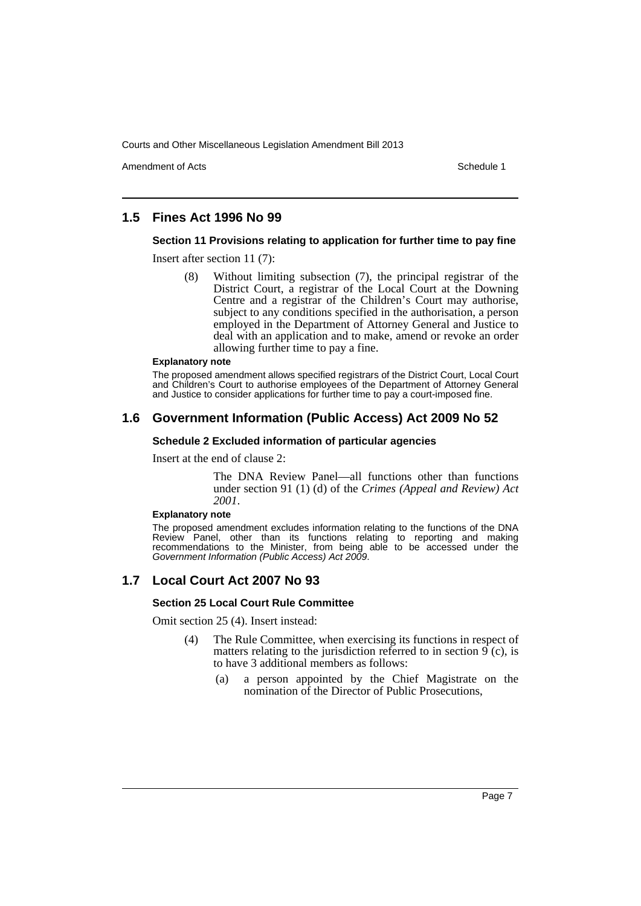Amendment of Acts **Amendment of Acts** Schedule 1

# **1.5 Fines Act 1996 No 99**

## **Section 11 Provisions relating to application for further time to pay fine**

Insert after section 11 (7):

(8) Without limiting subsection (7), the principal registrar of the District Court, a registrar of the Local Court at the Downing Centre and a registrar of the Children's Court may authorise, subject to any conditions specified in the authorisation, a person employed in the Department of Attorney General and Justice to deal with an application and to make, amend or revoke an order allowing further time to pay a fine.

#### **Explanatory note**

The proposed amendment allows specified registrars of the District Court, Local Court and Children's Court to authorise employees of the Department of Attorney General and Justice to consider applications for further time to pay a court-imposed fine.

## **1.6 Government Information (Public Access) Act 2009 No 52**

#### **Schedule 2 Excluded information of particular agencies**

Insert at the end of clause 2:

The DNA Review Panel—all functions other than functions under section 91 (1) (d) of the *Crimes (Appeal and Review) Act 2001*.

#### **Explanatory note**

The proposed amendment excludes information relating to the functions of the DNA Review Panel, other than its functions relating to reporting and making recommendations to the Minister, from being able to be accessed under the *Government Information (Public Access) Act 2009*.

# **1.7 Local Court Act 2007 No 93**

#### **Section 25 Local Court Rule Committee**

Omit section 25 (4). Insert instead:

- (4) The Rule Committee, when exercising its functions in respect of matters relating to the jurisdiction referred to in section  $\hat{9}$  (c), is to have 3 additional members as follows:
	- (a) a person appointed by the Chief Magistrate on the nomination of the Director of Public Prosecutions,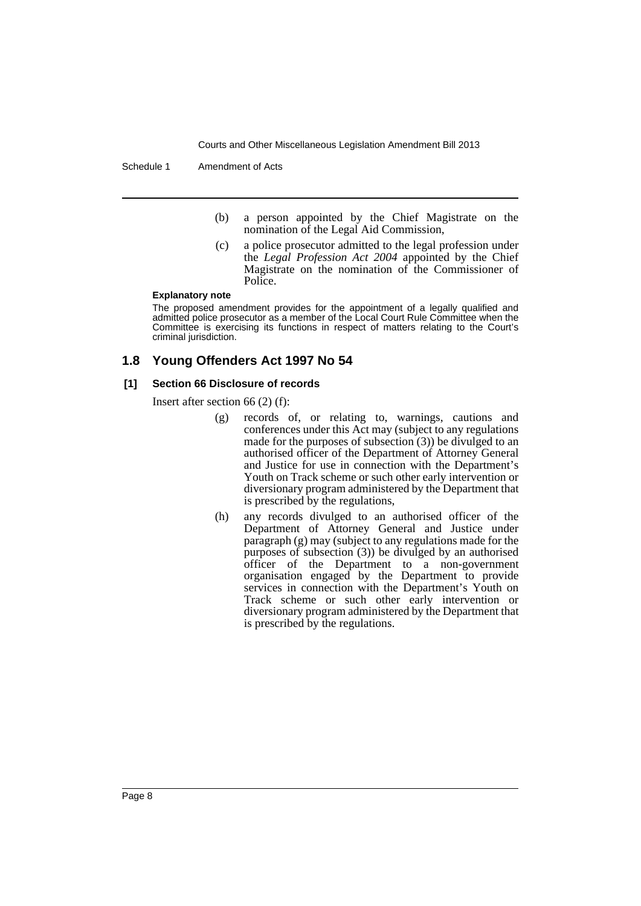Schedule 1 Amendment of Acts

- (b) a person appointed by the Chief Magistrate on the nomination of the Legal Aid Commission,
- (c) a police prosecutor admitted to the legal profession under the *Legal Profession Act 2004* appointed by the Chief Magistrate on the nomination of the Commissioner of Police.

#### **Explanatory note**

The proposed amendment provides for the appointment of a legally qualified and admitted police prosecutor as a member of the Local Court Rule Committee when the Committee is exercising its functions in respect of matters relating to the Court's criminal jurisdiction.

# **1.8 Young Offenders Act 1997 No 54**

## **[1] Section 66 Disclosure of records**

Insert after section 66 (2) (f):

- (g) records of, or relating to, warnings, cautions and conferences under this Act may (subject to any regulations made for the purposes of subsection  $(3)$ ) be divulged to an authorised officer of the Department of Attorney General and Justice for use in connection with the Department's Youth on Track scheme or such other early intervention or diversionary program administered by the Department that is prescribed by the regulations,
- (h) any records divulged to an authorised officer of the Department of Attorney General and Justice under paragraph (g) may (subject to any regulations made for the purposes of subsection (3)) be divulged by an authorised officer of the Department to a non-government organisation engaged by the Department to provide services in connection with the Department's Youth on Track scheme or such other early intervention or diversionary program administered by the Department that is prescribed by the regulations.